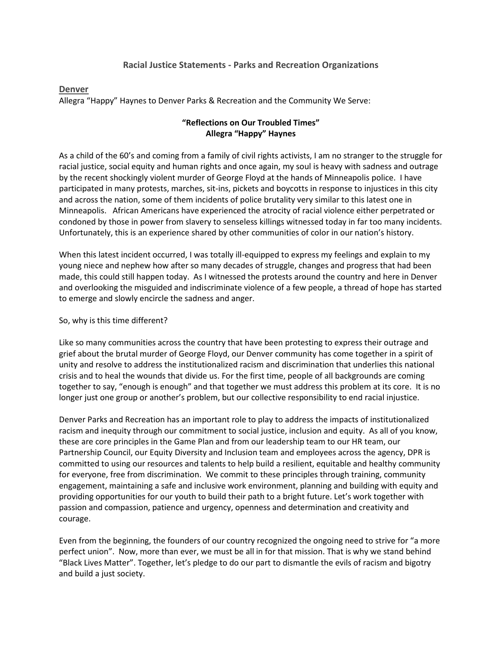### **Racial Justice Statements - Parks and Recreation Organizations**

#### **Denver**

Allegra "Happy" Haynes to Denver Parks & Recreation and the Community We Serve:

## **"Reflections on Our Troubled Times" Allegra "Happy" Haynes**

As a child of the 60's and coming from a family of civil rights activists, I am no stranger to the struggle for racial justice, social equity and human rights and once again, my soul is heavy with sadness and outrage by the recent shockingly violent murder of George Floyd at the hands of Minneapolis police. I have participated in many protests, marches, sit-ins, pickets and boycotts in response to injustices in this city and across the nation, some of them incidents of police brutality very similar to this latest one in Minneapolis. African Americans have experienced the atrocity of racial violence either perpetrated or condoned by those in power from slavery to senseless killings witnessed today in far too many incidents. Unfortunately, this is an experience shared by other communities of color in our nation's history.

When this latest incident occurred, I was totally ill-equipped to express my feelings and explain to my young niece and nephew how after so many decades of struggle, changes and progress that had been made, this could still happen today. As I witnessed the protests around the country and here in Denver and overlooking the misguided and indiscriminate violence of a few people, a thread of hope has started to emerge and slowly encircle the sadness and anger.

#### So, why is this time different?

Like so many communities across the country that have been protesting to express their outrage and grief about the brutal murder of George Floyd, our Denver community has come together in a spirit of unity and resolve to address the institutionalized racism and discrimination that underlies this national crisis and to heal the wounds that divide us. For the first time, people of all backgrounds are coming together to say, "enough is enough" and that together we must address this problem at its core. It is no longer just one group or another's problem, but our collective responsibility to end racial injustice.

Denver Parks and Recreation has an important role to play to address the impacts of institutionalized racism and inequity through our commitment to social justice, inclusion and equity. As all of you know, these are core principles in the Game Plan and from our leadership team to our HR team, our Partnership Council, our Equity Diversity and Inclusion team and employees across the agency, DPR is committed to using our resources and talents to help build a resilient, equitable and healthy community for everyone, free from discrimination. We commit to these principles through training, community engagement, maintaining a safe and inclusive work environment, planning and building with equity and providing opportunities for our youth to build their path to a bright future. Let's work together with passion and compassion, patience and urgency, openness and determination and creativity and courage.

Even from the beginning, the founders of our country recognized the ongoing need to strive for "a more perfect union". Now, more than ever, we must be all in for that mission. That is why we stand behind "Black Lives Matter". Together, let's pledge to do our part to dismantle the evils of racism and bigotry and build a just society.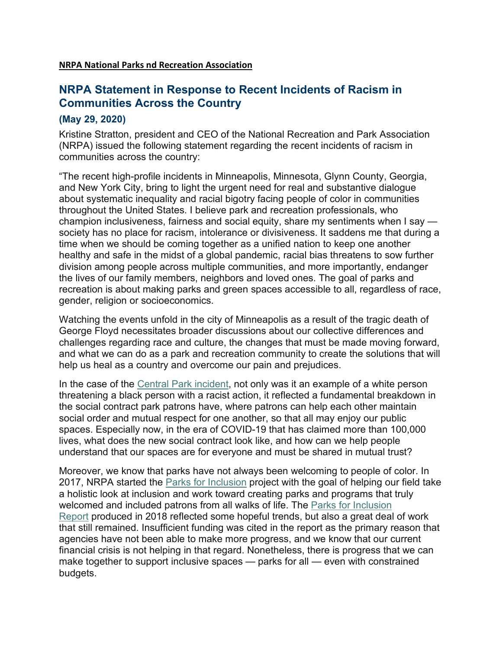# **NRPA Statement in Response to Recent Incidents of Racism in Communities Across the Country**

# **(May 29, 2020)**

Kristine Stratton, president and CEO of the National Recreation and Park Association (NRPA) issued the following statement regarding the recent incidents of racism in communities across the country:

"The recent high-profile incidents in Minneapolis, Minnesota, Glynn County, Georgia, and New York City, bring to light the urgent need for real and substantive dialogue about systematic inequality and racial bigotry facing people of color in communities throughout the United States. I believe park and recreation professionals, who champion inclusiveness, fairness and social equity, share my sentiments when I say society has no place for racism, intolerance or divisiveness. It saddens me that during a time when we should be coming together as a unified nation to keep one another healthy and safe in the midst of a global pandemic, racial bias threatens to sow further division among people across multiple communities, and more importantly, endanger the lives of our family members, neighbors and loved ones. The goal of parks and recreation is about making parks and green spaces accessible to all, regardless of race, gender, religion or socioeconomics.

Watching the events unfold in the city of Minneapolis as a result of the tragic death of George Floyd necessitates broader discussions about our collective differences and challenges regarding race and culture, the changes that must be made moving forward, and what we can do as a park and recreation community to create the solutions that will help us heal as a country and overcome our pain and prejudices.

In the case of the [Central Park incident,](https://www.nytimes.com/2020/05/27/nyregion/amy-cooper-christian-central-park-video.html) not only was it an example of a white person threatening a black person with a racist action, it reflected a fundamental breakdown in the social contract park patrons have, where patrons can help each other maintain social order and mutual respect for one another, so that all may enjoy our public spaces. Especially now, in the era of COVID-19 that has claimed more than 100,000 lives, what does the new social contract look like, and how can we help people understand that our spaces are for everyone and must be shared in mutual trust?

Moreover, we know that parks have not always been welcoming to people of color. In 2017, NRPA started the **[Parks for Inclusion](https://www.nrpa.org/our-work/partnerships/initiatives/parks-for-inclusion/parks-for-inclusion-about/)** project with the goal of helping our field take a holistic look at inclusion and work toward creating parks and programs that truly welcomed and included patrons from all walks of life. The [Parks for Inclusion](https://www.nrpa.org/contentassets/e386270247644310b06960be9e9986a9/park-recreation-inclusion-report.pdf)  [Report](https://www.nrpa.org/contentassets/e386270247644310b06960be9e9986a9/park-recreation-inclusion-report.pdf) produced in 2018 reflected some hopeful trends, but also a great deal of work that still remained. Insufficient funding was cited in the report as the primary reason that agencies have not been able to make more progress, and we know that our current financial crisis is not helping in that regard. Nonetheless, there is progress that we can make together to support inclusive spaces — parks for all — even with constrained budgets.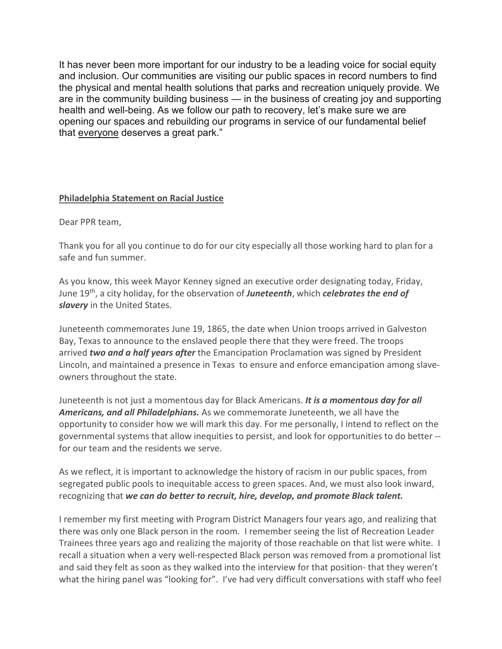It has never been more important for our industry to be a leading voice for social equity and inclusion. Our communities are visiting our public spaces in record numbers to find the physical and mental health solutions that parks and recreation uniquely provide. We are in the community building business — in the business of creating joy and supporting health and well-being. As we follow our path to recovery, let's make sure we are opening our spaces and rebuilding our programs in service of our fundamental belief that everyone deserves a great park."

# **Philadelphia Statement on Racial Justice**

Dear PPR team,

Thank you for all you continue to do for our city especially all those working hard to plan for a safe and fun summer.

As you know, this week Mayor Kenney signed an executive order designating today, Friday, June 19th, a city holiday, for the observation of *Juneteenth*, which *celebrates the end of slavery* in the United States.

Juneteenth commemorates June 19, 1865, the date when Union troops arrived in Galveston Bay, Texas to announce to the enslaved people there that they were freed. The troops arrived *two and a half years after* the Emancipation Proclamation was signed by President Lincoln, and maintained a presence in Texas to ensure and enforce emancipation among slaveowners throughout the state.

Juneteenth is not just a momentous day for Black Americans. *It is a momentous day for all Americans, and all Philadelphians.* As we commemorate Juneteenth, we all have the opportunity to consider how we will mark this day. For me personally, I intend to reflect on the governmental systems that allow inequities to persist, and look for opportunities to do better - for our team and the residents we serve.

As we reflect, it is important to acknowledge the history of racism in our public spaces, from segregated public pools to inequitable access to green spaces. And, we must also look inward, recognizing that *we can do better to recruit, hire, develop, and promote Black talent.*

I remember my first meeting with Program District Managers four years ago, and realizing that there was only one Black person in the room. I remember seeing the list of Recreation Leader Trainees three years ago and realizing the majority of those reachable on that list were white. I recall a situation when a very well-respected Black person was removed from a promotional list and said they felt as soon as they walked into the interview for that position- that they weren't what the hiring panel was "looking for". I've had very difficult conversations with staff who feel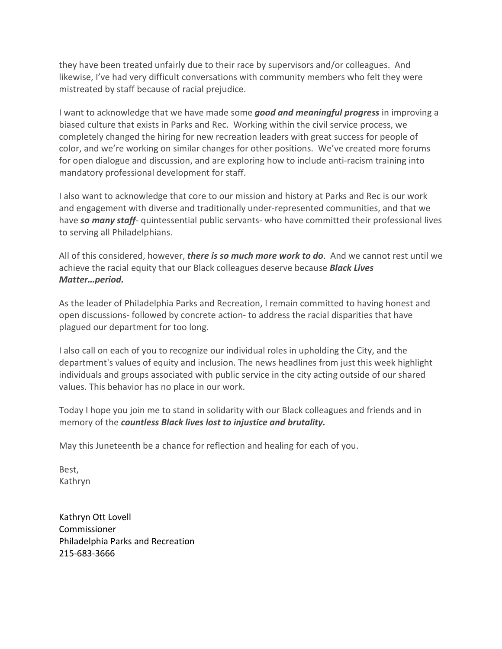they have been treated unfairly due to their race by supervisors and/or colleagues. And likewise, I've had very difficult conversations with community members who felt they were mistreated by staff because of racial prejudice.

I want to acknowledge that we have made some *good and meaningful progress* in improving a biased culture that exists in Parks and Rec. Working within the civil service process, we completely changed the hiring for new recreation leaders with great success for people of color, and we're working on similar changes for other positions. We've created more forums for open dialogue and discussion, and are exploring how to include anti-racism training into mandatory professional development for staff.

I also want to acknowledge that core to our mission and history at Parks and Rec is our work and engagement with diverse and traditionally under-represented communities, and that we have *so many staff*- quintessential public servants- who have committed their professional lives to serving all Philadelphians.

All of this considered, however, *there is so much more work to do*. And we cannot rest until we achieve the racial equity that our Black colleagues deserve because *Black Lives Matter…period.*

As the leader of Philadelphia Parks and Recreation, I remain committed to having honest and open discussions- followed by concrete action- to address the racial disparities that have plagued our department for too long.

I also call on each of you to recognize our individual roles in upholding the City, and the department's values of equity and inclusion. The news headlines from just this week highlight individuals and groups associated with public service in the city acting outside of our shared values. This behavior has no place in our work.

Today I hope you join me to stand in solidarity with our Black colleagues and friends and in memory of the *countless Black lives lost to injustice and brutality.* 

May this Juneteenth be a chance for reflection and healing for each of you.

Best, Kathryn

Kathryn Ott Lovell Commissioner Philadelphia Parks and Recreation 215-683-3666